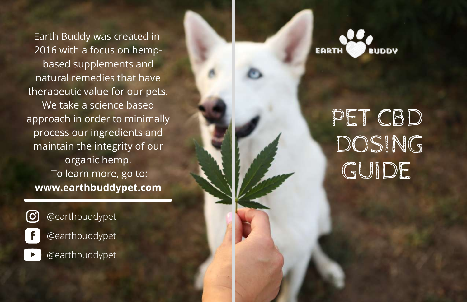Earth Buddy was created in 2 0 1 6 wit h a f o c u s o n h e m p based supplements and natural remedies that have therapeutic value for our pets. We take a science based approach in order to minimally process our ingredients and maintain the integrity of our o r g a nic h e m p. To learn more, go t o: **www.earthbuddypet.co m**

@earthbuddypet

@earthbuddypet

@earthbuddypet



# PET CBD D O SIN G G UID E